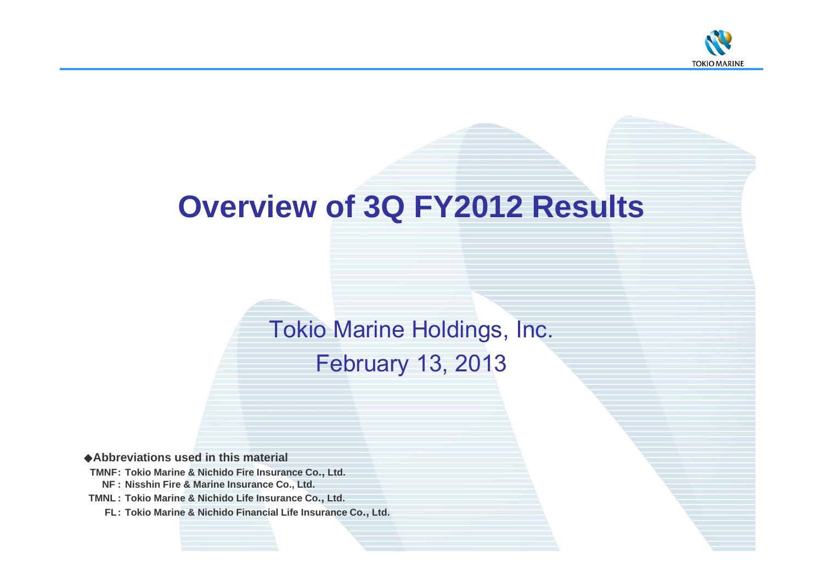

# **Overview of 3Q FY2012 Results**

# Tokio Marine Holdings, Inc.

February 13, 2013

◆**Abbreviations used in this material**

**TMNF: Tokio Marine & Nichido Fire Insurance Co., Ltd. NF : Nisshin Fire & Marine Insurance Co., Ltd.**

**TMNL : Tokio Marine & Nichido Life Insurance Co., Ltd.**

**FL: Tokio Marine & Nichido Financial Life Insurance Co., Ltd.**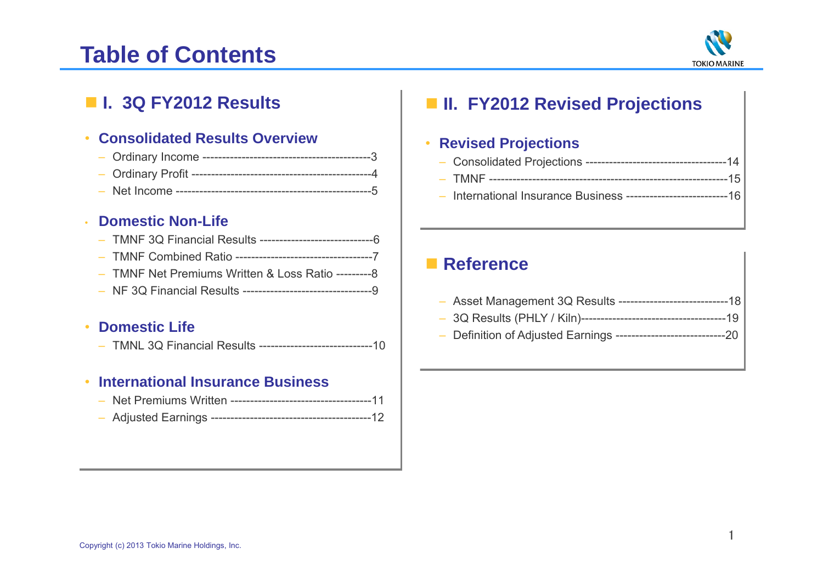# **Table of Contents**



## **I. 3Q FY2012 Results**

#### •**Consolidated Results Overview**

- Ordinary Income -------------------------------------------3
- Ordinary Profit ----------------------------------------------4
- Net Income --------------------------------------------------5

#### •**Domestic Non-Life**

- TMNF 3Q Financial Results -----------------------------6
- TMNF Combined Ratio -----------------------------------7
- TMNF Net Premiums Written & Loss Ratio ---------8
- NF 3Q Financial Results ---------------------------------9

#### •**Domestic Life**

– TMNL 3Q Financial Results -----------------------------10

#### •**International Insurance Business**

- Net Premiums Written ------------------------------------11
- Adjusted Earnings -----------------------------------------12

## **II. FY2012 Revised Projections**

#### •**Revised Projections**

|--|--|--|

- TMNF -------------------------------------------------------------15
- International Insurance Business --------------------------16

## **■ Reference**

|--|--|--|

- 3Q Results (PHLY / Kiln)-------------------------------------19
- Definition of Adjusted Earnings ----------------------------20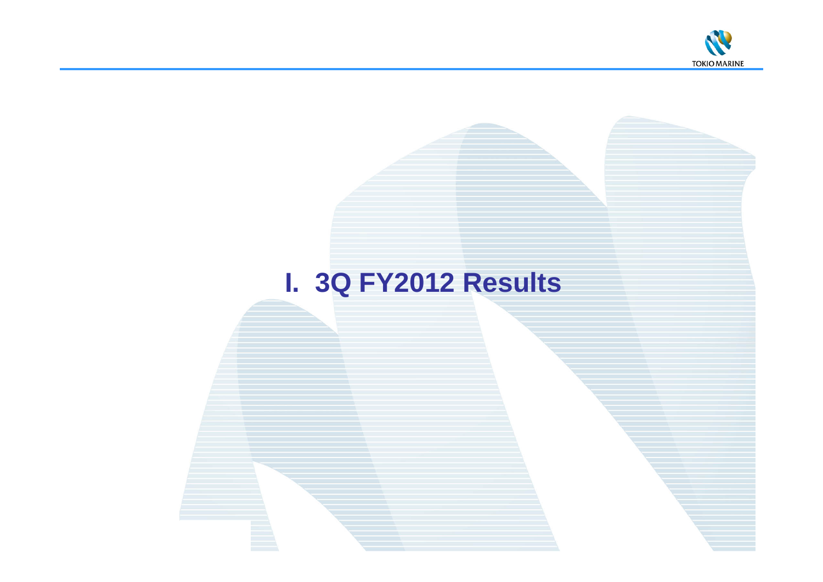

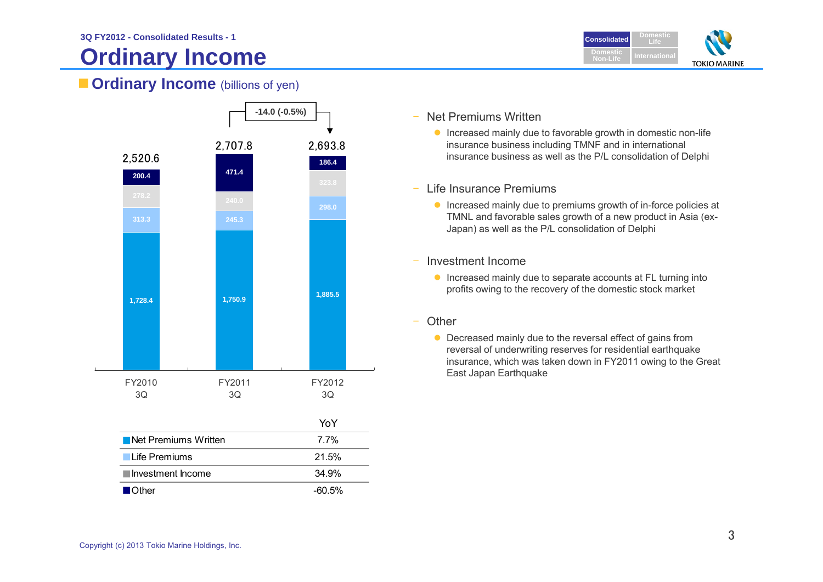# **Ordinary Income**



### **Cordinary Income** (billions of yen)



- Net Premiums Written
	- **Increased mainly due to favorable growth in domestic non-life** insurance business including TMNF and in international insurance business as well as the P/L consolidation of Delphi
- Life Insurance Premiums
	- **Increased mainly due to premiums growth of in-force policies at** TMNL and favorable sales growth of a new product in Asia (ex-Japan) as well as the P/L consolidation of Delphi
- – Investment Income
	- **Increased mainly due to separate accounts at FL turning into** profits owing to the recovery of the domestic stock market
- –**Other** 
	- Decreased mainly due to the reversal effect of gains from reversal of underwriting reserves for residential earthquake insurance, which was taken down in FY2011 owing to the Great East Japan Earthquake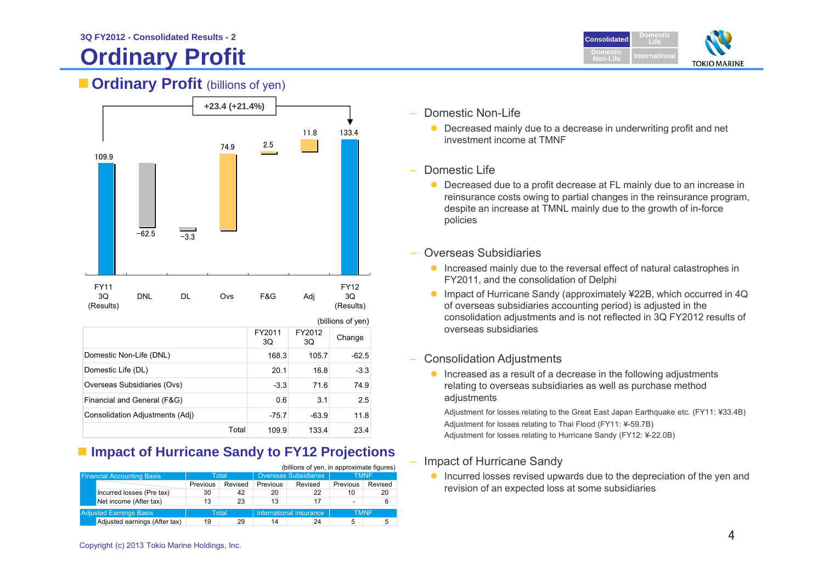# **Ordinary Profit**



### **Cordinary Profit** (billions of yen)



|                                 |       | (billions of yen) |              |         |  |
|---------------------------------|-------|-------------------|--------------|---------|--|
|                                 |       | FY2011<br>3Q      | FY2012<br>3Q | Change  |  |
| Domestic Non-Life (DNL)         |       | 168.3             | 105.7        | $-62.5$ |  |
| Domestic Life (DL)              |       | 20.1              | 16.8         | $-3.3$  |  |
| Overseas Subsidiaries (Ovs)     |       | $-3.3$            | 71.6         | 74.9    |  |
| Financial and General (F&G)     |       | 0.6               | 3.1          | 2.5     |  |
| Consolidation Adjustments (Adj) |       | $-75.7$           | $-63.9$      | 11.8    |  |
|                                 | Total | 109.9             | 133.4        | 23.4    |  |

### ■ Impact of Hurricane Sandy to **FY12 Projections**

|                                   |          |         |                       | (billions of yen, in approximate figures) |                          |             |
|-----------------------------------|----------|---------|-----------------------|-------------------------------------------|--------------------------|-------------|
| <b>Financial Accounting Basis</b> | Total    |         | Overseas Subsidiaries |                                           | <b>TMNF</b>              |             |
|                                   | Previous | Revised | Previous              | Revised                                   | Previous                 | Revised     |
| Incurred losses (Pre tax)         | 30       | 42      | 20                    | 22                                        | 10                       | 20          |
| Net income (After tax)            | 13       | 23      | 13                    | 17                                        | $\overline{\phantom{a}}$ | 6           |
| <b>Adjusted Earnings Basis</b>    |          | Total   |                       | International Insurance                   |                          | <b>TMNF</b> |
| Adjusted earnings (After tax)     | 19       | 29      | 14                    | 24                                        | 5                        | 5           |

–Domestic Non-Life

> ● Decreased mainly due to a decrease in underwriting profit and net investment income at TMNF

### Domestic Life

- Decreased due to a profit decrease at FL mainly due to an increase in reinsurance costs owing to partial changes in the reinsurance program, despite an increase at TMNL mainly due to the growth of in-force policies
- Overseas Subsidiaries
	- **Increased mainly due to the reversal effect of natural catastrophes in** FY2011, and the consolidation of Delphi
	- Impact of Hurricane Sandy (approximately ¥22B, which occurred in 4Q of overseas subsidiaries accounting period) is adjusted in the consolidation adjustments and is not reflected in 3Q FY2012 results of overseas subsidiaries

#### –Consolidation Adjustments

**Increased as a result of a decrease in the following adjustments** relating to overseas subsidiaries as well as purchase method adiustments

Adjustment for losses relating to the Great East Japan Earthquake etc. (FY11: ¥33.4B) Adjustment for losses relating to Thai Flood (FY11: ¥-59.7B) Adjustment for losses relating to Hurricane Sandy (FY12: ¥-22.0B)

### Impact of Hurricane Sandy

**Incurred losses revised upwards due to the depreciation of the yen and** revision of an expected loss at some subsidiaries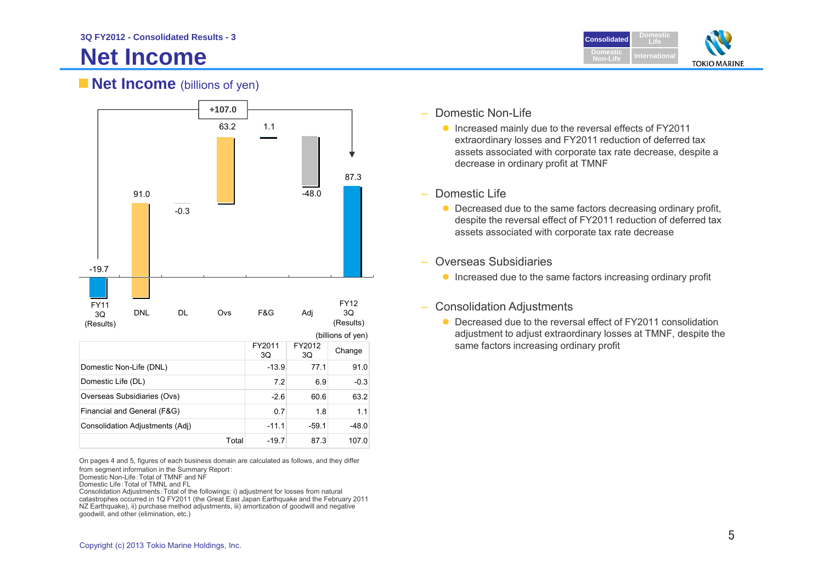# **Net Income**



### **Net Income** (billions of yen)



|                                 |       | FY2011<br>3Q | FY2012<br>3Q | Change  |
|---------------------------------|-------|--------------|--------------|---------|
| Domestic Non-Life (DNL)         |       | $-13.9$      | 77.1         | 91.0    |
| Domestic Life (DL)              |       | 7.2          | 6.9          | $-0.3$  |
| Overseas Subsidiaries (Ovs)     |       | $-2.6$       | 60.6         | 63.2    |
| Financial and General (F&G)     |       | 0.7          | 1.8          | 1.1     |
| Consolidation Adjustments (Adj) |       | $-11.1$      | $-59.1$      | $-48.0$ |
|                                 | Total | $-19.7$      | 87.3         | 107.0   |

On pages 4 and 5, figures of each business domain are calculated as follows, and they differ from segment information in the Summary Report:

Domestic Non-Life:Total of TMNF and NF

Domestic Life:Total of TMNL and FL

Consolidation Adjustments:Total of the followings: i) adjustment for losses from natural catastrophes occurred in 1Q FY2011 (the Great East Japan Earthquake and the February 2011 NZ Earthquake), ii) purchase method adjustments, iii) amortization of goodwill and negative goodwill, and other (elimination, etc.)

–Domestic Non-Life

> ● Increased mainly due to the reversal effects of FY2011 extraordinary losses and FY2011 reduction of deferred tax assets associated with corporate tax rate decrease, despite a decrease in ordinary profit at TMNF

#### –Domestic Life

- Decreased due to the same factors decreasing ordinary profit, despite the reversal effect of FY2011 reduction of deferred tax assets associated with corporate tax rate decrease
- Overseas Subsidiaries
	- **Increased due to the same factors increasing ordinary profit**
- – Consolidation Adjustments
	- Decreased due to the reversal effect of FY2011 consolidation adjustment to adjust extraordinary losses at TMNF, despite the same factors increasing ordinary profit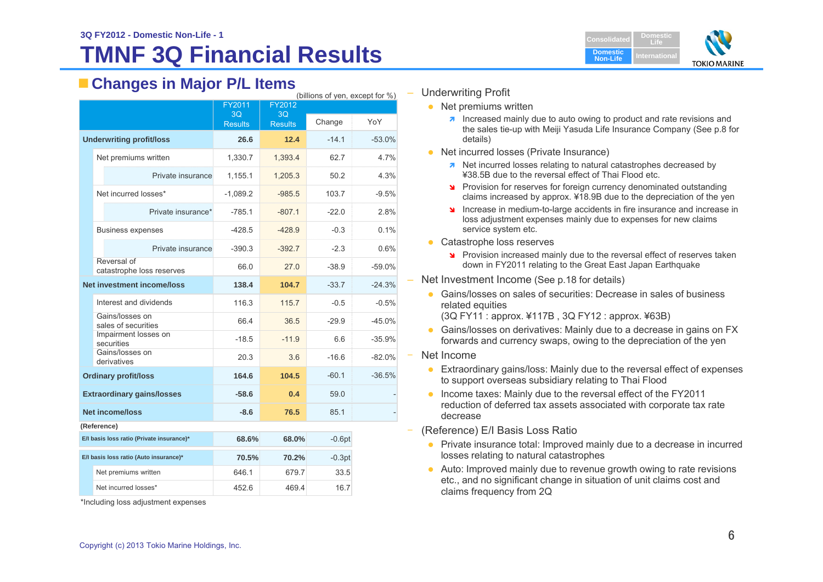# **TMNF 3Q Financial Results**

### **Changes in Major P/L Items**

| (billions of yen, except for %)           |                                          |                |                |          |          |
|-------------------------------------------|------------------------------------------|----------------|----------------|----------|----------|
|                                           |                                          | FY2011<br>3Q   | FY2012<br>3Q   |          |          |
|                                           |                                          | <b>Results</b> | <b>Results</b> | Change   | YoY      |
| <b>Underwriting profit/loss</b>           |                                          | 26.6           | 12.4           | $-14.1$  | $-53.0%$ |
|                                           | Net premiums written                     | 1,330.7        | 1,393.4        | 62.7     | 4.7%     |
|                                           | Private insurance                        | 1,155.1        | 1,205.3        | 50.2     | 4.3%     |
|                                           | Net incurred losses*                     | $-1,089.2$     | $-985.5$       | 103.7    | $-9.5%$  |
|                                           | Private insurance*                       | $-785.1$       | $-807.1$       | $-22.0$  | 2.8%     |
|                                           | <b>Business expenses</b>                 | $-428.5$       | $-428.9$       | $-0.3$   | 0.1%     |
|                                           | Private insurance                        | $-390.3$       | $-392.7$       | $-2.3$   | 0.6%     |
|                                           | Reversal of<br>catastrophe loss reserves | 66.0           | 27.0           | $-38.9$  | $-59.0%$ |
|                                           | <b>Net investment income/loss</b>        | 138.4          | 104.7          | $-33.7$  | $-24.3%$ |
|                                           | Interest and dividends                   | 116.3          | 115.7          | $-0.5$   | $-0.5%$  |
|                                           | Gains/losses on<br>sales of securities   | 66.4           | 36.5           | $-29.9$  | $-45.0%$ |
|                                           | Impairment losses on<br>securities       | $-18.5$        | $-11.9$        | 6.6      | $-35.9%$ |
|                                           | Gains/losses on<br>derivatives           | 20.3           | 3.6            | $-16.6$  | $-82.0%$ |
|                                           | <b>Ordinary profit/loss</b>              | 164.6          | 104.5          | $-60.1$  | $-36.5%$ |
|                                           | <b>Extraordinary gains/losses</b>        | $-58.6$        | 0.4            | 59.0     |          |
|                                           | <b>Net income/loss</b>                   | -8.6           | 76.5           | 85.1     |          |
| (Reference)                               |                                          |                |                |          |          |
| E/I basis loss ratio (Private insurance)* |                                          | 68.6%          | 68.0%          | $-0.6pt$ |          |
|                                           | E/I basis loss ratio (Auto insurance)*   | 70.5%          | 70.2%          | $-0.3pt$ |          |
|                                           | Net premiums written                     | 646.1          | 679.7          | 33.5     |          |
|                                           | Net incurred losses*                     | 452.6          | 469.4          | 16.7     |          |

\*Including loss adjustment expenses



#### Underwriting Profit

- Net premiums written
	- $\lambda$  Increased mainly due to auto owing to product and rate revisions and the sales tie-up with Meiji Yasuda Life Insurance Company (See p.8 for details)
- Net incurred losses (Private Insurance)
	- **A** Net incurred losses relating to natural catastrophes decreased by ¥38.5B due to the reversal effect of Thai Flood etc.
	- **Provision for reserves for foreign currency denominated outstanding** claims increased by approx. ¥18.9B due to the depreciation of the yen
	- Increase in medium-to-large accidents in fire insurance and increase in loss adjustment expenses mainly due to expenses for new claims service system etc.
- Catastrophe loss reserves
	- Provision increased mainly due to the reversal effect of reserves taken down in FY2011 relating to the Great East Japan Earthquake
- Net Investment Income (See p.18 for details)
	- Gains/losses on sales of securities: Decrease in sales of business related equities

(3Q FY11 : approx. ¥117B , 3Q FY12 : approx. ¥63B)

- Gains/losses on derivatives: Mainly due to a decrease in gains on FX forwards and currency swaps, owing to the depreciation of the yen
- Net Income
	- Extraordinary gains/loss: Mainly due to the reversal effect of expenses to support overseas subsidiary relating to Thai Flood
	- Income taxes: Mainly due to the reversal effect of the FY2011 reduction of deferred tax assets associated with corporate tax rate decrease
- (Reference) E/I Basis Loss Ratio
	- Private insurance total: Improved mainly due to a decrease in incurred losses relating to natural catastrophes
	- Auto: Improved mainly due to revenue growth owing to rate revisions etc., and no significant change in situation of unit claims cost and claims frequency from 2Q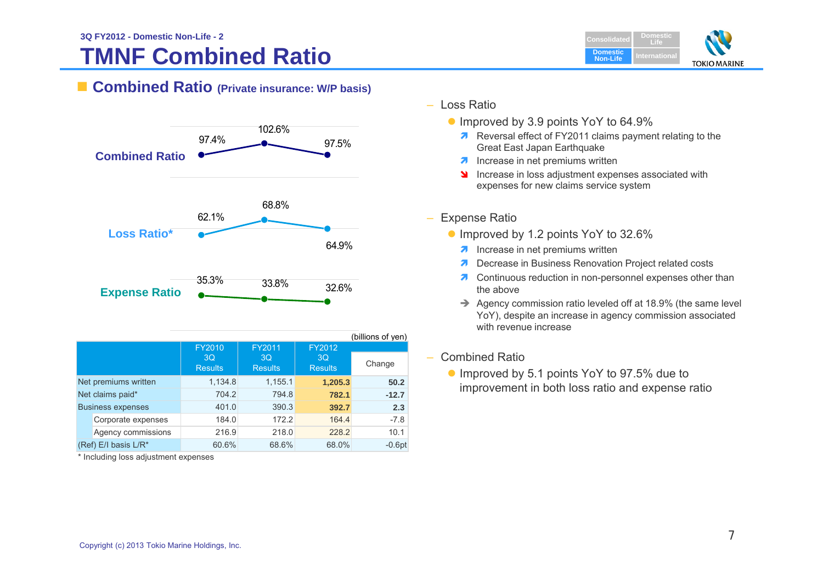# **TMNF Combined Ratio**



### **Combined Ratio (Private insurance: W/P basis)**



| (billions of yen)        |                                  |                                                                            |         |          |  |
|--------------------------|----------------------------------|----------------------------------------------------------------------------|---------|----------|--|
|                          | 3 <sub>O</sub><br><b>Results</b> | FY2010<br>FY2011<br>FY2012<br>3Q<br>3Q<br><b>Results</b><br><b>Results</b> |         | Change   |  |
| Net premiums written     | 1,134.8                          | 1,155.1                                                                    | 1,205.3 | 50.2     |  |
| Net claims paid*         | 704.2                            | 794.8                                                                      | 782.1   | $-12.7$  |  |
| <b>Business expenses</b> | 401.0                            | 390.3                                                                      | 392.7   | 2.3      |  |
| Corporate expenses       | 184.0                            | 172.2                                                                      | 164.4   | $-7.8$   |  |
| Agency commissions       | 216.9                            | 218.0                                                                      | 228.2   | 10.1     |  |
| (Ref) E/I basis L/R*     | 60.6%                            | 68.6%                                                                      | 68.0%   | $-0.6pt$ |  |

\* Including loss adjustment expenses

- Loss Ratio
	- Improved by 3.9 points YoY to 64.9%
		- **A** Reversal effect of FY2011 claims payment relating to the Great East Japan Earthquake
		- $\lambda$  Increase in net premiums written
		- **Increase in loss adjustment expenses associated with** expenses for new claims service system

### – Expense Ratio

- Improved by 1.2 points YoY to 32.6%
	- **A** Increase in net premiums written
	- **7** Decrease in Business Renovation Project related costs
	- **7** Continuous reduction in non-personnel expenses other than the above
	- $\rightarrow$  Agency commission ratio leveled off at 18.9% (the same level YoY), despite an increase in agency commission associated with revenue increase

### – Combined Ratio

● Improved by 5.1 points YoY to 97.5% due to improvement in both loss ratio and expense ratio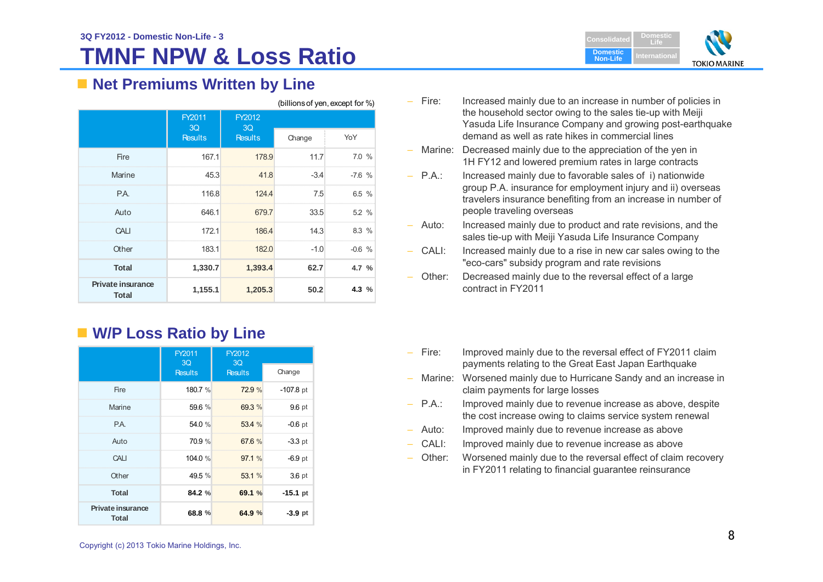# **TMNF NPW & Loss Ratio**



### ■ Net Premiums Written by Line

| (billions of yen, except for %)          |                |                |        |          |
|------------------------------------------|----------------|----------------|--------|----------|
|                                          | FY2011<br>3Q   | FY2012<br>3Q   |        |          |
|                                          | <b>Results</b> | <b>Results</b> | Change | YoY      |
| Fire                                     | 167.1          | 178.9          | 11.7   | 7.0%     |
| Marine                                   | 45.3           | 41.8           | $-3.4$ | $-7.6$ % |
| P.A.                                     | 116.8          | 124.4          | 7.5    | 6.5%     |
| Auto                                     | 646.1          | 679.7          | 33.5   | 5.2%     |
| CALL                                     | 172.1          | 186.4          | 14.3   | 8.3%     |
| Other                                    | 183.1          | 182.0          | $-1.0$ | $-0.6$ % |
| <b>Total</b>                             | 1,330.7        | 1,393.4        | 62.7   | 4.7 %    |
| <b>Private insurance</b><br><b>Total</b> | 1,155.1        | 1,205.3        | 50.2   | 4.3 $%$  |

### **W/P Loss Ratio by Line**

|                                          | FY2011<br>3Q   | FY2012<br>3Q   |                   |
|------------------------------------------|----------------|----------------|-------------------|
|                                          | <b>Results</b> | <b>Results</b> | Change            |
| Fire                                     | 180.7 %        | 72.9 %         | $-107.8$ pt       |
| Marine                                   | 59.6 %         | 69.3 %         | 9.6 pt            |
| P.A.                                     | 54.0 %         | 53.4 %         | $-0.6$ pt         |
| Auto                                     | 70.9 %         | 67.6 %         | $-3.3$ pt         |
| CALI                                     | 104.0%         | 97.1%          | $-6.9$ pt         |
| Other                                    | 49.5 %         | 53.1 %         | 3.6 <sub>pt</sub> |
| <b>Total</b>                             | 84.2 %         | 69.1 %         | $-15.1$ pt        |
| <b>Private insurance</b><br><b>Total</b> | 68.8 %         | 64.9%          | $-3.9$ pt         |

- Fire: Increased mainly due to an increase in number of policies in the household sector owing to the sales tie-up with Meiji Yasuda Life Insurance Company and growing post-earthquake demand as well as rate hikes in commercial lines
- Marine: Decreased mainly due to the appreciation of the yen in 1H FY12 and lowered premium rates in large contracts
- P.A.: Increased mainly due to favorable sales of i) nationwide group P.A. insurance for employment injury and ii) overseas travelers insurance benefiting from an increase in number of people traveling overseas
- –Increased mainly due to product and rate revisions, and the sales tie-up with Meiji Yasuda Life Insurance Company
- – CALI: Increased mainly due to a rise in new car sales owing to the "eco-cars" subsidy program and rate revisions
- Other: Decreased mainly due to the reversal effect of a large contract in FY2011
- –Improved mainly due to the reversal effect of FY2011 claim payments relating to the Great East Japan Earthquake
- – Marine: Worsened mainly due to Hurricane Sandy and an increase in claim payments for large losses
- $-$  P.A.: Improved mainly due to revenue increase as above, despite the cost increase owing to claims service system renewal
- Auto: Improved mainly due to revenue increase as above
- CALI: Improved mainly due to revenue increase as above
- Other: Worsened mainly due to the reversal effect of claim recovery in FY2011 relating to financial guarantee reinsurance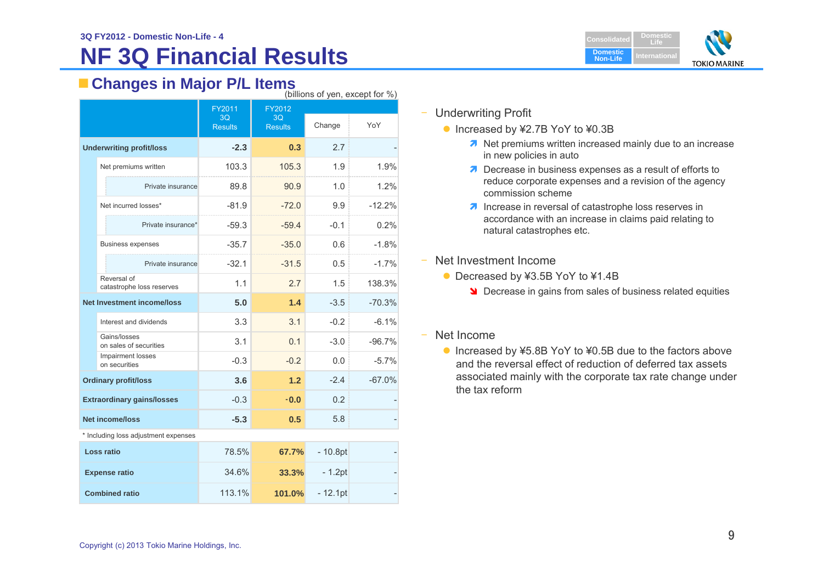# **NF 3Q Financial Results**

# **Changes in Major P/L Items** (billions of yen, except for %)

| (DIIIIUITS UL YELI, EXUEPL IUL 70)   |                                          |                                |                                |           |          |
|--------------------------------------|------------------------------------------|--------------------------------|--------------------------------|-----------|----------|
|                                      |                                          | FY2011<br>3Q<br><b>Results</b> | FY2012<br>3Q<br><b>Results</b> | Change    | YoY      |
|                                      | <b>Underwriting profit/loss</b>          | $-2.3$                         | 0.3                            | 2.7       |          |
|                                      | Net premiums written                     | 103.3                          | 105.3                          | 1.9       | 1.9%     |
|                                      | Private insurance                        | 89.8                           | 90.9                           | 1.0       | 1.2%     |
|                                      | Net incurred losses*                     | $-81.9$                        | $-72.0$                        | 9.9       | $-12.2%$ |
|                                      | Private insurance*                       | $-59.3$                        | $-59.4$                        | $-0.1$    | 0.2%     |
|                                      | <b>Business expenses</b>                 | $-35.7$                        | $-35.0$                        | 0.6       | $-1.8%$  |
|                                      | Private insurance                        | $-32.1$                        | $-31.5$                        | 0.5       | $-1.7%$  |
|                                      | Reversal of<br>catastrophe loss reserves | 1.1                            | 2.7                            | 1.5       | 138.3%   |
|                                      | <b>Net Investment income/loss</b>        | 5.0                            | 1.4                            | $-3.5$    | $-70.3%$ |
|                                      | Interest and dividends                   | 3.3                            | 3.1                            | $-0.2$    | $-6.1%$  |
|                                      | Gains/losses<br>on sales of securities   | 3.1                            | 0.1                            | $-3.0$    | $-96.7%$ |
|                                      | Impairment losses<br>on securities       | $-0.3$                         | $-0.2$                         | 0.0       | $-5.7%$  |
|                                      | <b>Ordinary profit/loss</b>              | 3.6                            | 1.2                            | $-2.4$    | $-67.0%$ |
| <b>Extraordinary gains/losses</b>    |                                          | $-0.3$                         | $-0.0$                         | 0.2       |          |
| <b>Net income/loss</b>               |                                          | $-5.3$                         | 0.5                            | 5.8       |          |
| * Including loss adjustment expenses |                                          |                                |                                |           |          |
|                                      | Loss ratio                               | 78.5%                          | 67.7%                          | $-10.8pt$ |          |
|                                      | <b>Expense ratio</b>                     | 34.6%                          | 33.3%                          | $-1.2pt$  |          |

113.1%

**101.0%**

 $-12.1$ pt



#### –Underwriting Profit

- Increased by ¥2.7B YoY to ¥0.3B
	- **1** Net premiums written increased mainly due to an increase in new policies in auto
	- **Decrease in business expenses as a result of efforts to** reduce corporate expenses and a revision of the agency commission scheme
	- $\lambda$  Increase in reversal of catastrophe loss reserves in accordance with an increase in claims paid relating to natural catastrophes etc.
- – Net Investment Income
	- Decreased by ¥3.5B YoY to ¥1.4B
		- **Decrease in gains from sales of business related equities**
- $\overline{\phantom{0}}$  Net Income
	- Increased by ¥5.8B YoY to ¥0.5B due to the factors above and the reversal effect of reduction of deferred tax assets associated mainly with the corporate tax rate change under the tax reform

 **Combined ratio**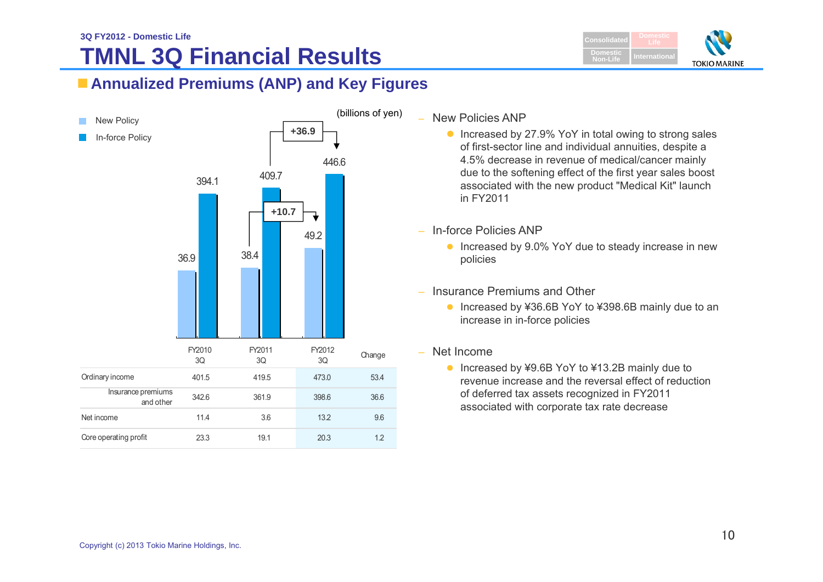

## **Annualized Premiums (ANP) and Key Figures**



#### – New Policies ANP

- Increased by 27.9% YoY in total owing to strong sales of first-sector line and individual annuities, despite a 4.5% decrease in revenue of medical/cancer mainly due to the softening effect of the first year sales boost associated with the new product "Medical Kit" launch in FY2011
- In-force Policies ANP
	- Increased by 9.0% YoY due to steady increase in new policies
- Insurance Premiums and Other
	- Increased by ¥36.6B YoY to ¥398.6B mainly due to an increase in in-force policies
- Net Income
	- Increased by ¥9.6B YoY to ¥13.2B mainly due to revenue increase and the reversal effect of reduction of deferred tax assets recognized in FY2011 associated with corporate tax rate decrease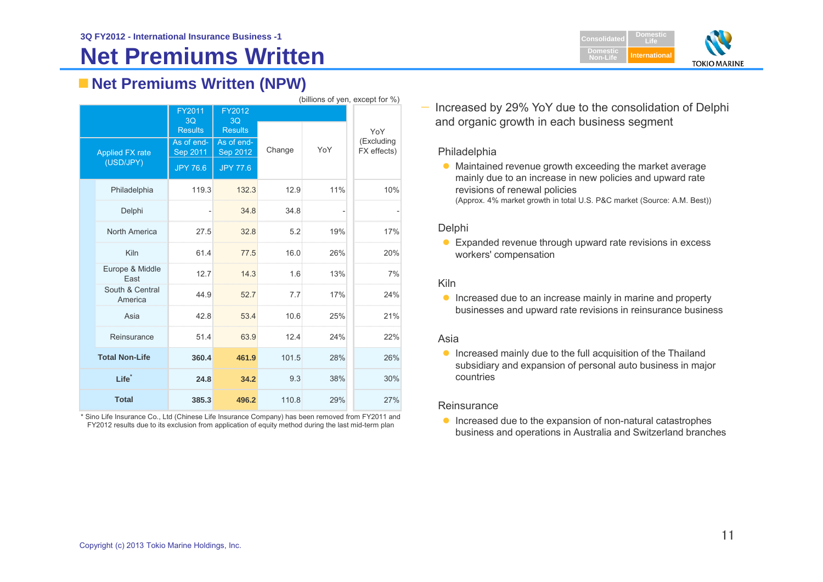# **Net Premiums Written**



## **Net Premiums Written (NPW)**

|                                     | (billions of yen, except for %) |                                |                                |        |     |                           |  |
|-------------------------------------|---------------------------------|--------------------------------|--------------------------------|--------|-----|---------------------------|--|
|                                     |                                 | FY2011<br>3Q<br><b>Results</b> | FY2012<br>3Q<br><b>Results</b> |        |     | YoY                       |  |
| <b>Applied FX rate</b><br>(USD/JPY) |                                 | As of end-<br>Sep 2011         | As of end-<br>Sep 2012         | Change | YoY | (Excluding<br>FX effects) |  |
|                                     |                                 | <b>JPY 76.6</b>                | <b>JPY 77.6</b>                |        |     |                           |  |
|                                     | Philadelphia                    | 119.3                          | 132.3                          | 12.9   | 11% | 10%                       |  |
|                                     | Delphi                          |                                | 34.8                           | 34.8   |     |                           |  |
|                                     | North America                   | 27.5                           | 32.8                           | 5.2    | 19% | 17%                       |  |
|                                     | Kiln                            | 61.4                           | 77.5                           | 16.0   | 26% | 20%                       |  |
|                                     | Europe & Middle<br>East         | 12.7                           | 14.3                           | 1.6    | 13% | 7%                        |  |
|                                     | South & Central<br>America      | 44.9                           | 52.7                           | 7.7    | 17% | 24%                       |  |
|                                     | Asia                            | 42.8                           | 53.4                           | 10.6   | 25% | 21%                       |  |
|                                     | Reinsurance                     | 51.4                           | 63.9                           | 12.4   | 24% | 22%                       |  |
|                                     | <b>Total Non-Life</b>           | 360.4                          | 461.9                          | 101.5  | 28% | 26%                       |  |
| Life <sup>*</sup>                   |                                 | 24.8                           | 34.2                           | 9.3    | 38% | 30%                       |  |
|                                     | <b>Total</b>                    | 385.3                          | 496.2                          | 110.8  | 29% | 27%                       |  |

\* Sino Life Insurance Co., Ltd (Chinese Life Insurance Company) has been removed from FY2011 and FY2012 results due to its exclusion from application of equity method during the last mid-term plan

 Increased by 29% YoY due to the consolidation of Delphi and organic growth in each business segment

#### Philadelphia

—

• Maintained revenue growth exceeding the market average mainly due to an increase in new policies and upward rate revisions of renewal policies (Approx. 4% market growth in total U.S. P&C market (Source: A.M. Best))

#### Delphi

● Expanded revenue through upward rate revisions in excess workers' compensation

#### Kiln

**Increased due to an increase mainly in marine and property** businesses and upward rate revisions in reinsurance business

#### Asia

 $\bullet$  Increased mainly due to the full acquisition of the Thailand subsidiary and expansion of personal auto business in major countries

#### **Reinsurance**

**Increased due to the expansion of non-natural catastrophes** business and operations in Australia and Switzerland branches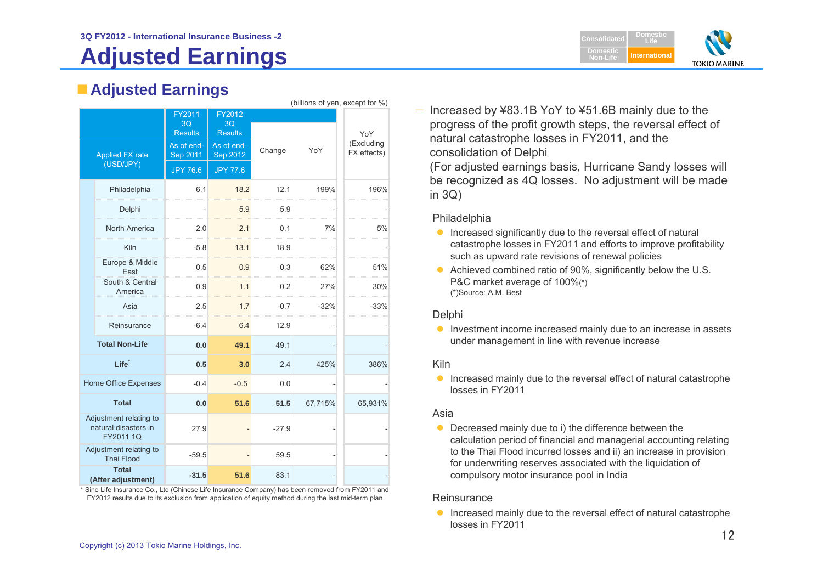# **Adjusted Earnings**



## **Adjusted Earnings**

|                                                             | (billions of yen, except for %)    |                        |                        |         |         |                           |
|-------------------------------------------------------------|------------------------------------|------------------------|------------------------|---------|---------|---------------------------|
|                                                             |                                    | FY2011                 | FY2012                 |         |         |                           |
|                                                             |                                    | 3Q                     | 3Q                     |         |         |                           |
|                                                             |                                    | <b>Results</b>         | <b>Results</b>         |         |         | YoY                       |
|                                                             | <b>Applied FX rate</b>             | As of end-<br>Sep 2011 | As of end-<br>Sep 2012 | Change  | YoY     | (Excluding<br>FX effects) |
| (USD/JPY)                                                   |                                    | <b>JPY 76.6</b>        | <b>JPY 77.6</b>        |         |         |                           |
|                                                             | Philadelphia                       | 6.1                    | 18.2                   | 12.1    | 199%    | 196%                      |
|                                                             | Delphi                             |                        | 5.9                    | 5.9     |         |                           |
|                                                             | North America                      | 2.0                    | 2.1                    | 0.1     | 7%      | 5%                        |
|                                                             | Kiln                               | $-5.8$                 | 13.1                   | 18.9    |         |                           |
|                                                             | Europe & Middle<br>East            | 0.5                    | 0.9                    | 0.3     | 62%     | 51%                       |
|                                                             | South & Central<br>America         | 0.9                    | 1.1                    | 0.2     | 27%     | 30%                       |
|                                                             | Asia                               | 2.5                    | 1.7                    | $-0.7$  | $-32%$  | $-33%$                    |
|                                                             | Reinsurance                        | $-6.4$                 | 6.4                    | 12.9    |         |                           |
|                                                             | <b>Total Non-Life</b>              | 0.0                    | 49.1                   | 49.1    |         |                           |
|                                                             | Life <sup>*</sup>                  | 0.5                    | 3.0                    | 2.4     | 425%    | 386%                      |
|                                                             | Home Office Expenses               | $-0.4$                 | $-0.5$                 | 0.0     |         |                           |
| <b>Total</b>                                                |                                    | 0.0                    | 51.6                   | 51.5    | 67,715% | 65,931%                   |
| Adjustment relating to<br>natural disasters in<br>FY2011 1Q |                                    | 27.9                   |                        | $-27.9$ |         |                           |
| Adjustment relating to<br><b>Thai Flood</b>                 |                                    | $-59.5$                |                        | 59.5    |         |                           |
|                                                             | <b>Total</b><br>(After adjustment) | $-31.5$                | 51.6                   | 83.1    |         |                           |

\* Sino Life Insurance Co., Ltd (Chinese Life Insurance Company) has been removed from FY2011 and FY2012 results due to its exclusion from application of equity method during the last mid-term plan

— Increased by ¥83.1B YoY to ¥51.6B mainly due to the progress of the profit growth steps, the reversal effect of natural catastrophe losses in FY2011, and the consolidation of Delphi

(For adjusted earnings basis, Hurricane Sandy losses will be recognized as 4Q losses. No adjustment will be made in  $3Q$ )

#### Philadelphia

- $\bullet$  Increased significantly due to the reversal effect of natural catastrophe losses in FY2011 and efforts to improve profitability such as upward rate revisions of renewal policies
- Achieved combined ratio of 90%, significantly below the U.S. P&C market average of 100%(\*) (\*)Source: A.M. Best

### **Delphi**

**Investment income increased mainly due to an increase in assets** under management in line with revenue increase

### Kiln

**Increased mainly due to the reversal effect of natural catastrophe** losses in FY2011

#### Asia

• Decreased mainly due to i) the difference between the calculation period of financial and managerial accounting relating to the Thai Flood incurred losses and ii) an increase in provision for underwriting reserves associated with the liquidation of compulsory motor insurance pool in India

#### **Reinsurance**

**Increased mainly due to the reversal effect of natural catastrophe** losses in FY2011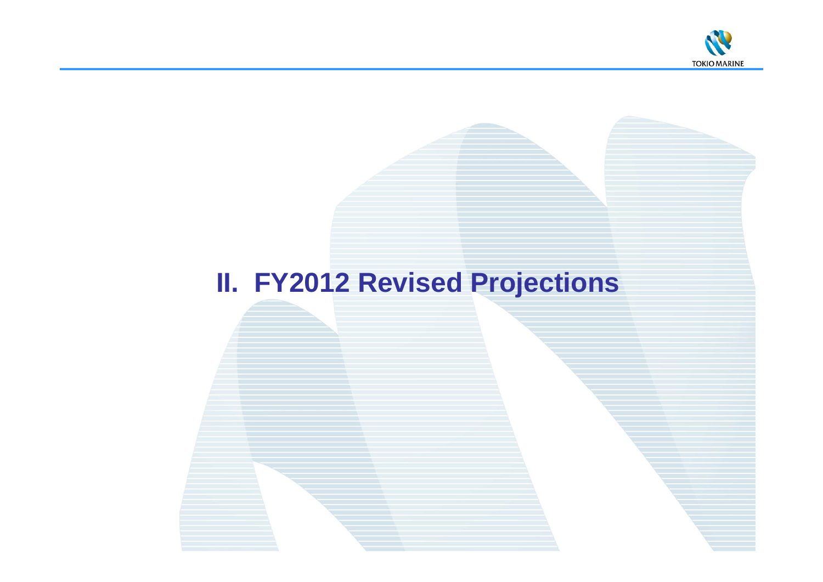

# **II. FY2012 Revised Projections**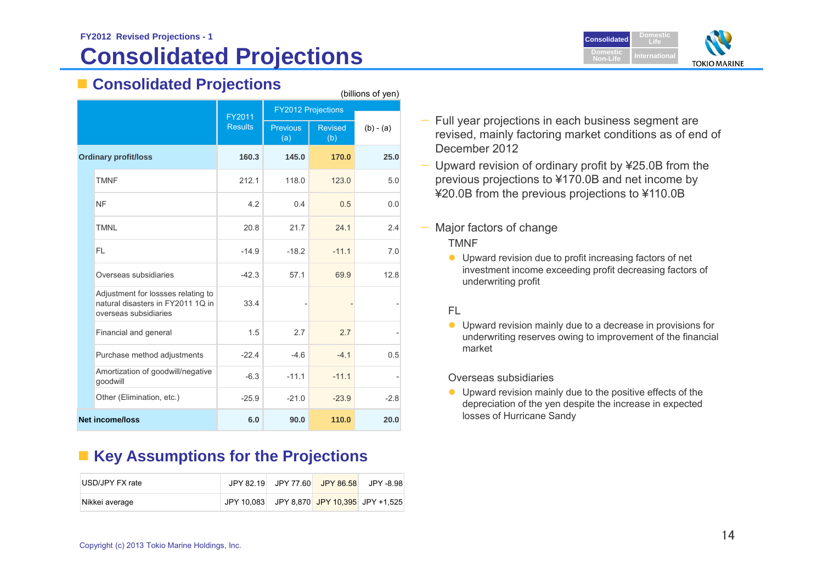# **Consolidated Projections**



## **Consolidated Projections**

|                             | ----------<br>---<br>(billions of yen)                                                           |                |                        |                       |             |  |
|-----------------------------|--------------------------------------------------------------------------------------------------|----------------|------------------------|-----------------------|-------------|--|
|                             | <b>FY2012 Projections</b><br>FY2011                                                              |                |                        |                       |             |  |
|                             |                                                                                                  | <b>Results</b> | <b>Previous</b><br>(a) | <b>Revised</b><br>(b) | $(b) - (a)$ |  |
| <b>Ordinary profit/loss</b> |                                                                                                  | 160.3          | 145.0                  | 170.0                 | 25.0        |  |
|                             | <b>TMNF</b>                                                                                      | 212.1          | 118.0                  | 123.0                 | 5.0         |  |
|                             | <b>NF</b>                                                                                        | 4.2            | 0.4                    | 0.5                   | 0.0         |  |
|                             | <b>TMNL</b>                                                                                      | 20.8           | 21.7                   | 24.1                  | 2.4         |  |
|                             | FL.                                                                                              | $-14.9$        | $-18.2$                | $-11.1$               | 7.0         |  |
|                             | Overseas subsidiaries                                                                            | $-42.3$        | 57.1                   | 69.9                  | 12.8        |  |
|                             | Adjustment for lossses relating to<br>natural disasters in FY2011 1Q in<br>overseas subsidiaries | 33.4           |                        |                       |             |  |
|                             | Financial and general                                                                            | 1.5            | 2.7                    | 2.7                   |             |  |
|                             | Purchase method adjustments                                                                      | $-22.4$        | $-4.6$                 | $-4.1$                | 0.5         |  |
|                             | Amortization of goodwill/negative<br>goodwill                                                    | $-6.3$         | $-11.1$                | $-11.1$               |             |  |
|                             | Other (Elimination, etc.)                                                                        | $-25.9$        | $-21.0$                | $-23.9$               | $-2.8$      |  |
| <b>Net income/loss</b>      |                                                                                                  | 6.0            | 90.0                   | 110.0                 | 20.0        |  |

### **Key Assumptions for the Projections**

| IUSD/JPY FX rate | JPY 82.19 | JPY 77.60 JPY 86.58 | JPY -8.98                                  |
|------------------|-----------|---------------------|--------------------------------------------|
| Nikkei average   |           |                     | JPY 10,083 JPY 8,870 JPY 10,395 JPY +1,525 |

- — Full year projections in each business segment are revised, mainly factoring market conditions as of end of December 2012
- — Upward revision of ordinary profit by ¥25.0B from the previous projections to ¥170.0B and net income by ¥20.0B from the previous projections to ¥110.0B
- Major factors of change

#### TMNF

 Upward revision due to profit increasing factors of net investment income exceeding profit decreasing factors of underwriting profit

### FL

 Upward revision mainly due to a decrease in provisions for underwriting reserves owing to improvement of the financial market

Overseas subsidiaries

 Upward revision mainly due to the positive effects of the depreciation of the yen despite the increase in expected losses of Hurricane Sandy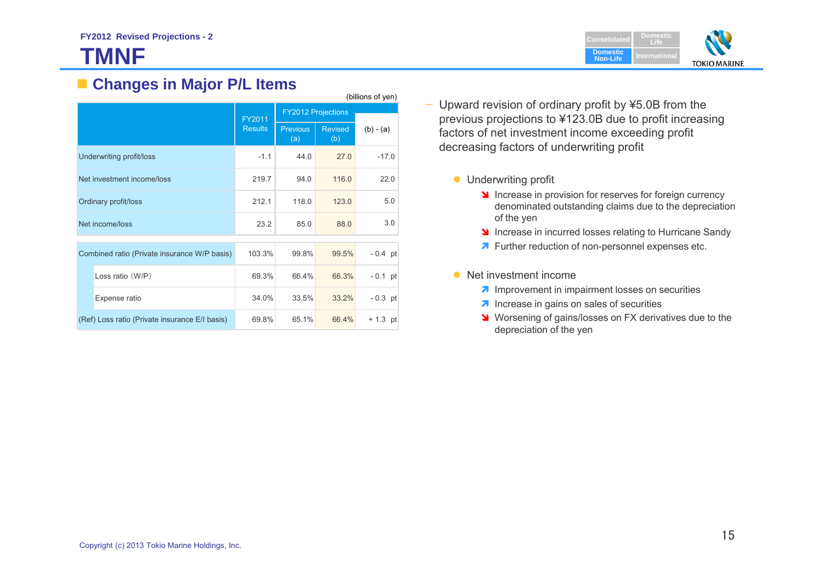# **TMNF**



### **Changes in Major P/L Items**

|                                                | (billions of yen)        |                |                           |                       |             |  |
|------------------------------------------------|--------------------------|----------------|---------------------------|-----------------------|-------------|--|
|                                                |                          | FY2011         | <b>FY2012 Projections</b> |                       |             |  |
|                                                |                          | <b>Results</b> | <b>Previous</b><br>(a)    | <b>Revised</b><br>(b) | $(b) - (a)$ |  |
|                                                | Underwriting profit/loss | $-1.1$         | 44.0                      | 27.0                  | $-17.0$     |  |
| Net investment income/loss                     |                          | 219.7          | 94.0                      | 116.0                 | 22.0        |  |
| Ordinary profit/loss                           |                          | 212.1          | 118.0                     | 123.0                 | 5.0         |  |
| Net income/loss                                |                          | 23.2           | 85.0                      | 88.0                  | 3.0         |  |
| Combined ratio (Private insurance W/P basis)   |                          | 103.3%         | 99.8%                     | 99.5%                 | $-0.4$ pt   |  |
|                                                | Loss ratio (W/P)         | 69.3%          | 66.4%                     | 66.3%                 | $-0.1$ pt   |  |
|                                                | Expense ratio            | 34.0%          | 33.5%                     | 33.2%                 | $-0.3$ pt   |  |
| (Ref) Loss ratio (Private insurance E/I basis) |                          | 69.8%          | 65.1%                     | 66.4%                 | $+ 1.3$ pt  |  |

- Upward revision of ordinary profit by ¥5.0B from the previous projections to ¥123.0B due to profit increasing factors of net investment income exceeding profit decreasing factors of underwriting profit
	- **Underwriting profit** 
		- Increase in provision for reserves for foreign currency denominated outstanding claims due to the depreciation of the yen
		- Increase in incurred losses relating to Hurricane Sandy
		- **7** Further reduction of non-personnel expenses etc.
	- Net investment income
		- **IM** Improvement in impairment losses on securities
		- *A* Increase in gains on sales of securities
		- Worsening of gains/losses on FX derivatives due to the depreciation of the yen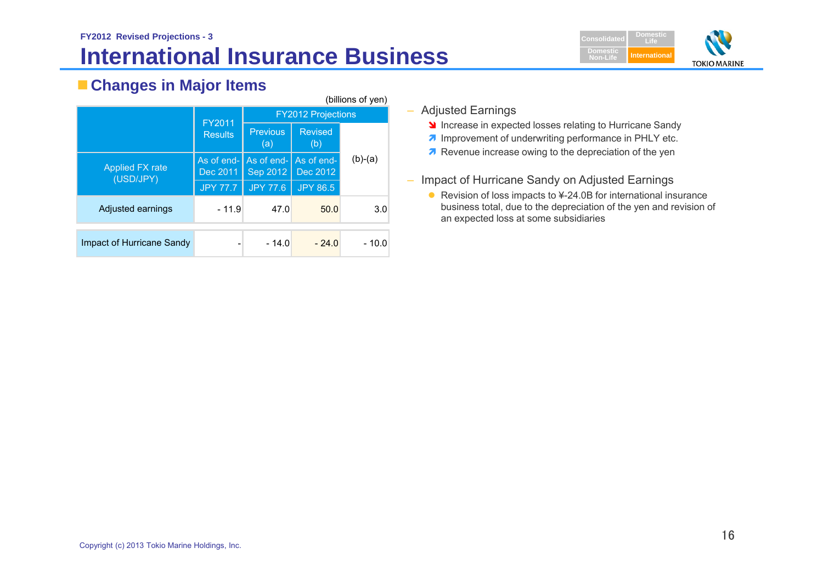## **FY2012 Revised Projections - 3 International Insurance Business**



## **Changes in Major Items**

| (billions of yen)            |                        |                           |                        |           |  |  |  |
|------------------------------|------------------------|---------------------------|------------------------|-----------|--|--|--|
|                              | FY2011                 | <b>FY2012 Projections</b> |                        |           |  |  |  |
|                              | <b>Results</b>         | <b>Previous</b><br>(a)    | <b>Revised</b><br>(b)  |           |  |  |  |
| Applied FX rate<br>(USD/JPY) | As of end-<br>Dec 2011 | As of end-<br>Sep 2012    | As of end-<br>Dec 2012 | $(b)-(a)$ |  |  |  |
|                              | <b>JPY 77.7</b>        | <b>JPY 77.6</b>           | <b>JPY 86.5</b>        |           |  |  |  |
| Adjusted earnings            | $-11.9$                | 47.0                      | 50.0                   | 3.0       |  |  |  |
| Impact of Hurricane Sandy    |                        | $-14.0$                   | $-24.0$                | $-10.0$   |  |  |  |

- Adjusted Earnings
	- Increase in expected losses relating to Hurricane Sandy
	- **7** Improvement of underwriting performance in PHLY etc.
	- **Revenue increase owing to the depreciation of the yen**
- Impact of Hurricane Sandy on Adjusted Earnings
	- Revision of loss impacts to ¥-24.0B for international insurance business total, due to the depreciation of the yen and revision of an expected loss at some subsidiaries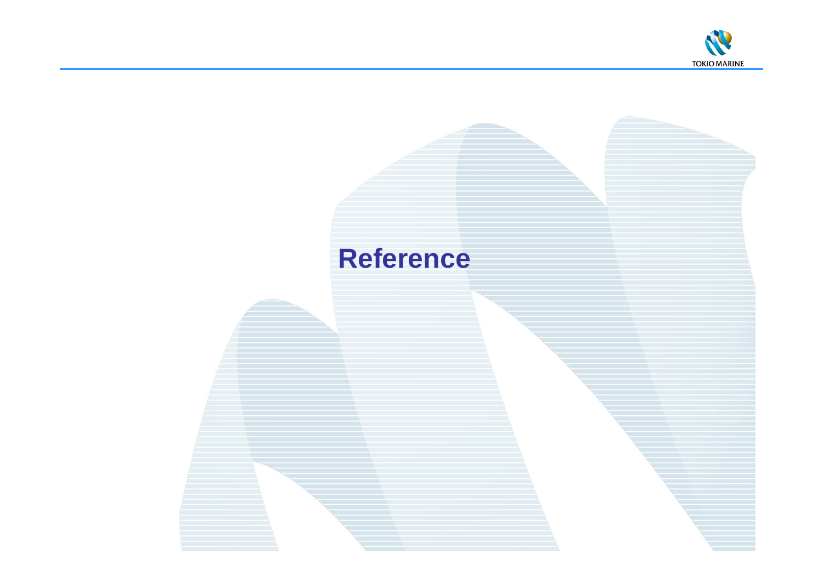

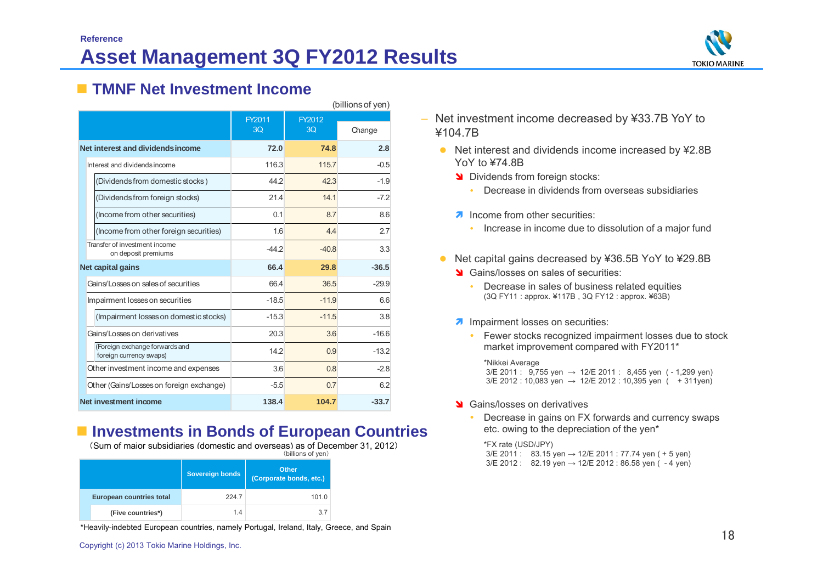

### **TMNF Net Investment Income**

| (billions of yen)                                         |                  |         |         |  |
|-----------------------------------------------------------|------------------|---------|---------|--|
|                                                           | FY2011<br>FY2012 |         |         |  |
|                                                           | 3O               | 3O      | Change  |  |
| Net interest and dividends income                         | 72.0             | 74.8    | 2.8     |  |
| Interest and dividends income                             | 116.3            | 115.7   | $-0.5$  |  |
| (Dividends from domestic stocks)                          | 44.2             | 42.3    | $-1.9$  |  |
| (Dividends from foreign stocks)                           | 21.4             | 141     | $-72$   |  |
| (Income from other securities)                            | 0.1              | 8.7     | 8.6     |  |
| (Income from other foreign securities)                    | 1.6              | 44      | 2.7     |  |
| Transfer of investment income<br>on deposit premiums      | $-442$           | $-408$  | 3.3     |  |
| Net capital gains                                         | 66.4             | 29.8    | $-36.5$ |  |
| Gains/Losses on sales of securities                       | 66.4             | 36.5    | $-29.9$ |  |
| Impairment losses on securities                           | $-18.5$          | $-11.9$ | 6.6     |  |
| (Impairment losses on domestic stocks)                    | $-15.3$          | $-11.5$ | 3.8     |  |
| Gains/Losses on derivatives                               | 20.3             | 3.6     | $-16.6$ |  |
| (Foreign exchange forwards and<br>foreign currency swaps) | 14.2             | 0.9     | $-13.2$ |  |
| Other investment income and expenses                      | 3.6              | 08      | $-2.8$  |  |
| Other (Gains/Losses on foreign exchange)                  | $-5.5$           | 07      | 62      |  |
| Net investment income                                     | 138.4            | 104.7   | $-33.7$ |  |

### **Investments in Bonds of European Countries**

(Sum of major subsidiaries (domestic and overseas) as of December 31, 2012)

| (billions of yen)        |                        |                                  |  |  |
|--------------------------|------------------------|----------------------------------|--|--|
|                          | <b>Sovereign bonds</b> | Other<br>(Corporate bonds, etc.) |  |  |
| European countries total | 224.7                  | 101.0                            |  |  |
| (Five countries*)        | 14                     | 3.7                              |  |  |

\*Heavily-indebted European countries, namely Portugal, Ireland, Italy, Greece, and Spain

- – Net investment income decreased by ¥33.7B YoY to ¥104.7B
	- Net interest and dividends income increased by ¥2.8B YoY to ¥74.8B
		- Dividends from foreign stocks:
			- Decrease in dividends from overseas subsidiaries
		- **A** Income from other securities:
			- Increase in income due to dissolution of a major fund
	- Net capital gains decreased by ¥36.5B YoY to ¥29.8B
		- Stains/losses on sales of securities:
			- Decrease in sales of business related equities (3Q FY11 : approx. ¥117B , 3Q FY12 : approx. ¥63B)
		- **A** Impairment losses on securities:
			- Fewer stocks recognized impairment losses due to stock market improvement compared with FY2011\*

\*Nikkei Average 3/E 2011 :  $9,755$  yen  $\rightarrow$  12/E 2011 : 8,455 yen (-1,299 yen)  $3/E$  2012 : 10,083 yen  $\rightarrow$  12/E 2012 : 10,395 yen ( + 311yen)

- State Gains/losses on derivatives
	- é Decrease in gains on FX forwards and currency swaps etc. owing to the depreciation of the yen\*

\*FX rate (USD/JPY)  $3/E 2011$ : 83.15 yen  $\rightarrow$  12/E 2011 : 77.74 yen ( + 5 yen)  $3/E 2012$ : 82.19 yen  $\rightarrow$  12/E 2012 : 86.58 yen ( - 4 yen)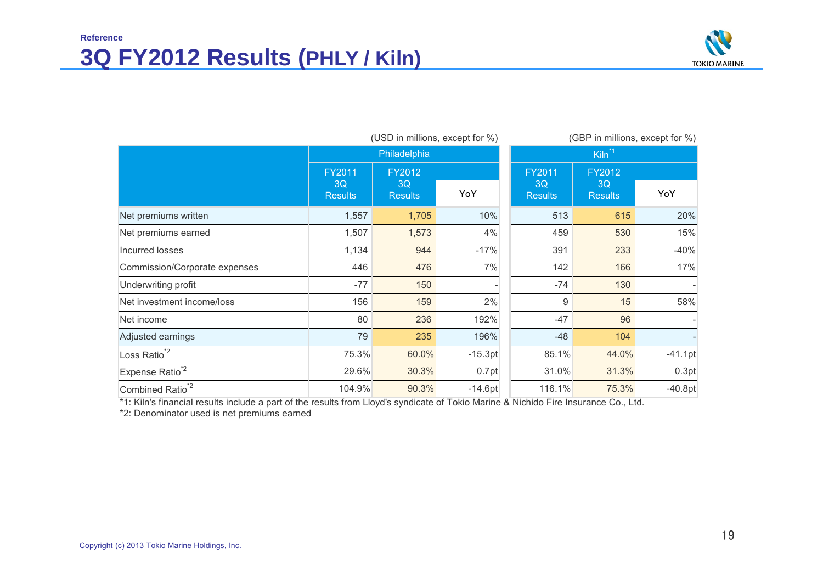## **Reference 3Q FY2012 Results (PHLY / Kiln)**



|                               | (USD in millions, except for %) |                                | (GBP in millions, except for %) |                                |                                |           |  |  |
|-------------------------------|---------------------------------|--------------------------------|---------------------------------|--------------------------------|--------------------------------|-----------|--|--|
|                               |                                 | Philadelphia                   |                                 |                                | Kiln <sup>*1</sup>             |           |  |  |
|                               | FY2011<br>3Q<br><b>Results</b>  | FY2012<br>3Q<br><b>Results</b> | YoY                             | FY2011<br>3Q<br><b>Results</b> | FY2012<br>3Q<br><b>Results</b> | YoY       |  |  |
| Net premiums written          | 1,557                           | 1,705                          | 10%                             | 513                            | 615                            | 20%       |  |  |
| Net premiums earned           | 1,507                           | 1,573                          | 4%                              | 459                            | 530                            | 15%       |  |  |
| Incurred losses               | 1,134                           | 944                            | $-17%$                          | 391                            | 233                            | $-40%$    |  |  |
| Commission/Corporate expenses | 446                             | 476                            | 7%                              | 142                            | 166                            | 17%       |  |  |
| Underwriting profit           | $-77$                           | 150                            |                                 | $-74$                          | 130                            |           |  |  |
| Net investment income/loss    | 156                             | 159                            | 2%                              | 9                              | 15                             | 58%       |  |  |
| Net income                    | 80                              | 236                            | 192%                            | $-47$                          | 96                             |           |  |  |
| Adjusted earnings             | 79                              | 235                            | 196%                            | $-48$                          | 104                            |           |  |  |
| Loss Ratio <sup>*2</sup>      | 75.3%                           | 60.0%                          | $-15.3pt$                       | 85.1%                          | 44.0%                          | $-41.1pt$ |  |  |
| Expense Ratio <sup>*2</sup>   | 29.6%                           | 30.3%                          | 0.7pt                           | 31.0%                          | 31.3%                          | 0.3pt     |  |  |
| Combined Ratio <sup>*2</sup>  | 104.9%                          | 90.3%                          | $-14.6pt$                       | 116.1%                         | 75.3%                          | $-40.8pt$ |  |  |

\*1: Kiln's financial results include a part of the results from Lloyd's syndicate of Tokio Marine & Nichido Fire Insurance Co., Ltd.

\*2: Denominator used is net premiums earned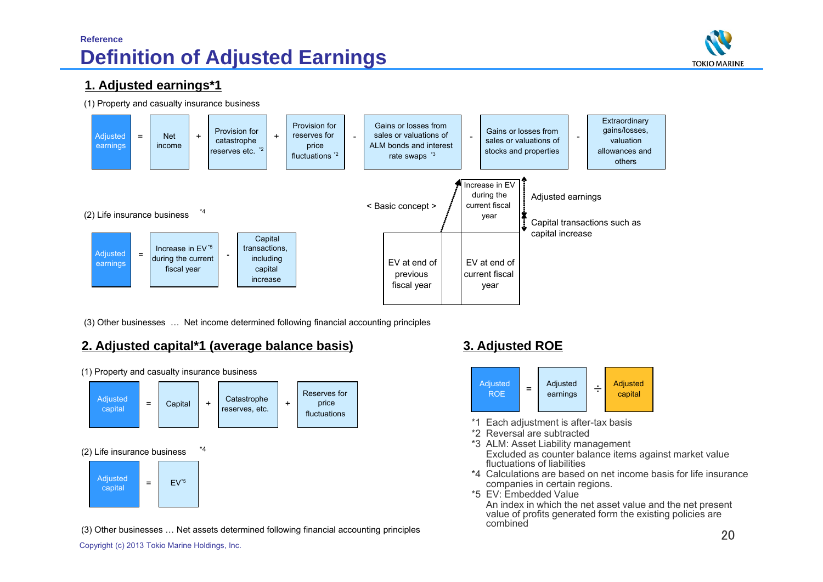### **Reference Definition of Adjusted Earnings**



### **1. Adjusted earnings\*1**

(1) Property and casualty insurance business



(3) Other businesses … Net income determined following financial accounting principles

### **2. Adjusted capital\*1 (average balance basis) 3. Adjusted ROE**



(1) Property and casualty insurance business

#### (3) Other businesses … Net assets determined following financial accounting principles



- \*1 Each adjustment is after-tax basis
- \*2 Reversal are subtracted
- \*3 ALM: Asset Liability management Excluded as counter balance items against market value fluctuations of liabilities
- \*4 Calculations are based on net income basis for life insurance companies in certain regions.
- \*5 EV: Embedded Value

An index in which the net asset value and the net present value of profits generated form the existing policies are combined